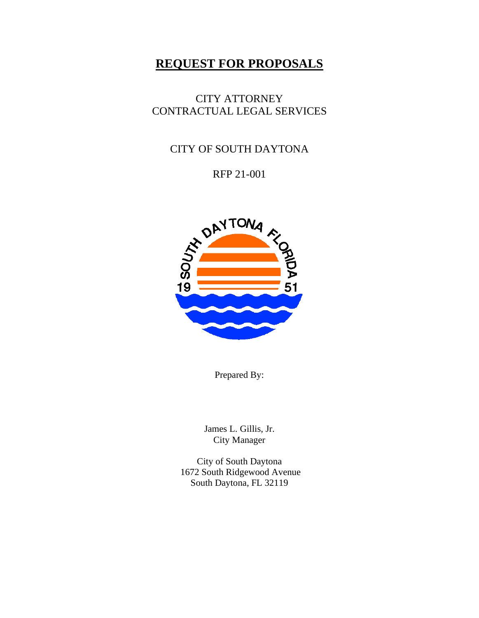# **REQUEST FOR PROPOSALS**

CITY ATTORNEY CONTRACTUAL LEGAL SERVICES

CITY OF SOUTH DAYTONA

RFP 21-001



Prepared By:

James L. Gillis, Jr. City Manager

City of South Daytona 1672 South Ridgewood Avenue South Daytona, FL 32119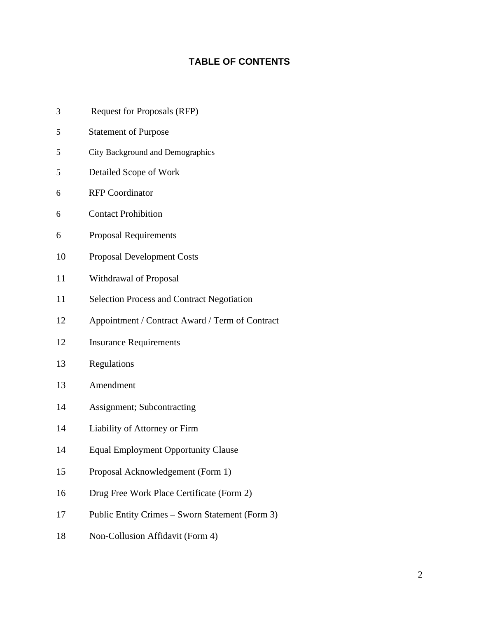# **TABLE OF CONTENTS**

| 3  | <b>Request for Proposals (RFP)</b>                |
|----|---------------------------------------------------|
| 5  | <b>Statement of Purpose</b>                       |
| 5  | City Background and Demographics                  |
| 5  | Detailed Scope of Work                            |
| 6  | <b>RFP</b> Coordinator                            |
| 6  | <b>Contact Prohibition</b>                        |
| 6  | <b>Proposal Requirements</b>                      |
| 10 | <b>Proposal Development Costs</b>                 |
| 11 | Withdrawal of Proposal                            |
| 11 | <b>Selection Process and Contract Negotiation</b> |
| 12 | Appointment / Contract Award / Term of Contract   |
| 12 | <b>Insurance Requirements</b>                     |
| 13 | Regulations                                       |
| 13 | Amendment                                         |
| 14 | Assignment; Subcontracting                        |
| 14 | Liability of Attorney or Firm                     |
| 14 | <b>Equal Employment Opportunity Clause</b>        |
| 15 | Proposal Acknowledgement (Form 1)                 |
| 16 | Drug Free Work Place Certificate (Form 2)         |
| 17 | Public Entity Crimes – Sworn Statement (Form 3)   |
| 18 | Non-Collusion Affidavit (Form 4)                  |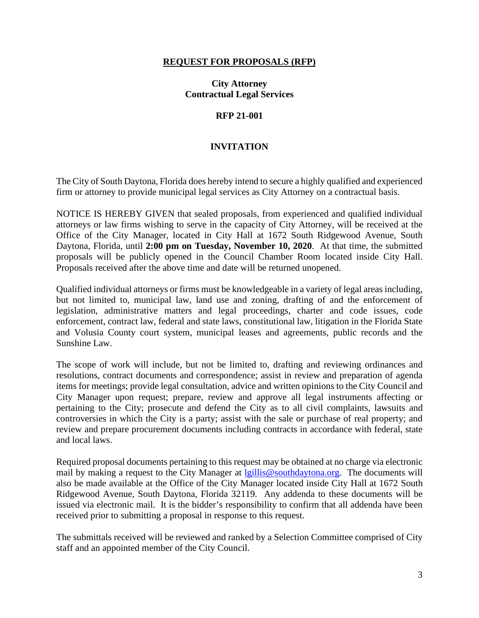#### **REQUEST FOR PROPOSALS (RFP)**

#### **City Attorney Contractual Legal Services**

#### **RFP 21-001**

#### **INVITATION**

The City of South Daytona, Florida does hereby intend to secure a highly qualified and experienced firm or attorney to provide municipal legal services as City Attorney on a contractual basis.

NOTICE IS HEREBY GIVEN that sealed proposals, from experienced and qualified individual attorneys or law firms wishing to serve in the capacity of City Attorney, will be received at the Office of the City Manager, located in City Hall at 1672 South Ridgewood Avenue, South Daytona, Florida, until **2:00 pm on Tuesday, November 10, 2020**. At that time, the submitted proposals will be publicly opened in the Council Chamber Room located inside City Hall. Proposals received after the above time and date will be returned unopened.

Qualified individual attorneys or firms must be knowledgeable in a variety of legal areas including, but not limited to, municipal law, land use and zoning, drafting of and the enforcement of legislation, administrative matters and legal proceedings, charter and code issues, code enforcement, contract law, federal and state laws, constitutional law, litigation in the Florida State and Volusia County court system, municipal leases and agreements, public records and the Sunshine Law.

The scope of work will include, but not be limited to, drafting and reviewing ordinances and resolutions, contract documents and correspondence; assist in review and preparation of agenda items for meetings; provide legal consultation, advice and written opinions to the City Council and City Manager upon request; prepare, review and approve all legal instruments affecting or pertaining to the City; prosecute and defend the City as to all civil complaints, lawsuits and controversies in which the City is a party; assist with the sale or purchase of real property; and review and prepare procurement documents including contracts in accordance with federal, state and local laws.

Required proposal documents pertaining to this request may be obtained at no charge via electronic mail by making a request to the City Manager at [lgillis@southdaytona.org.](mailto:lgillis@southdaytona.org) The documents will also be made available at the Office of the City Manager located inside City Hall at 1672 South Ridgewood Avenue, South Daytona, Florida 32119. Any addenda to these documents will be issued via electronic mail. It is the bidder's responsibility to confirm that all addenda have been received prior to submitting a proposal in response to this request.

The submittals received will be reviewed and ranked by a Selection Committee comprised of City staff and an appointed member of the City Council.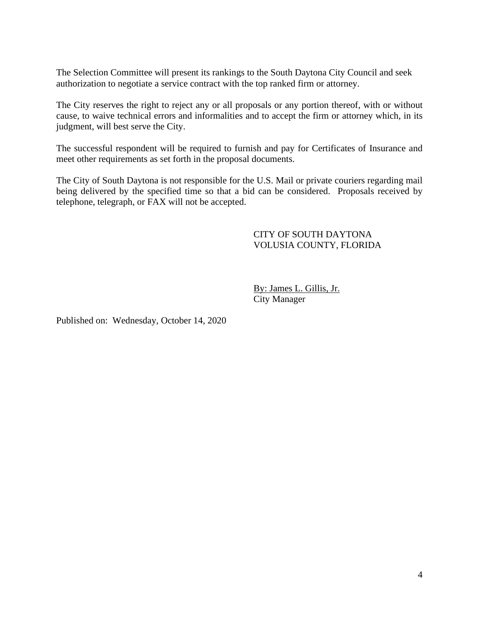The Selection Committee will present its rankings to the South Daytona City Council and seek authorization to negotiate a service contract with the top ranked firm or attorney.

The City reserves the right to reject any or all proposals or any portion thereof, with or without cause, to waive technical errors and informalities and to accept the firm or attorney which, in its judgment, will best serve the City.

The successful respondent will be required to furnish and pay for Certificates of Insurance and meet other requirements as set forth in the proposal documents.

The City of South Daytona is not responsible for the U.S. Mail or private couriers regarding mail being delivered by the specified time so that a bid can be considered. Proposals received by telephone, telegraph, or FAX will not be accepted.

#### CITY OF SOUTH DAYTONA VOLUSIA COUNTY, FLORIDA

By: James L. Gillis, Jr. City Manager

Published on: Wednesday, October 14, 2020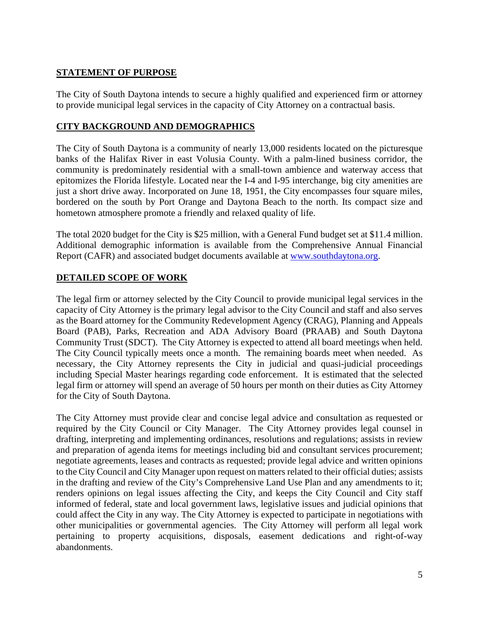### **STATEMENT OF PURPOSE**

The City of South Daytona intends to secure a highly qualified and experienced firm or attorney to provide municipal legal services in the capacity of City Attorney on a contractual basis.

#### **CITY BACKGROUND AND DEMOGRAPHICS**

The City of South Daytona is a community of nearly 13,000 residents located on the picturesque banks of the Halifax River in east Volusia County. With a palm-lined business corridor, the community is predominately residential with a small-town ambience and waterway access that epitomizes the Florida lifestyle. Located near the I-4 and I-95 interchange, big city amenities are just a short drive away. Incorporated on June 18, 1951, the City encompasses four square miles, bordered on the south by Port Orange and Daytona Beach to the north. Its compact size and hometown atmosphere promote a friendly and relaxed quality of life.

The total 2020 budget for the City is \$25 million, with a General Fund budget set at \$11.4 million. Additional demographic information is available from the Comprehensive Annual Financial Report (CAFR) and associated budget documents available at [www.southdaytona.org.](http://www.southdaytona.org/)

### **DETAILED SCOPE OF WORK**

The legal firm or attorney selected by the City Council to provide municipal legal services in the capacity of City Attorney is the primary legal advisor to the City Council and staff and also serves as the Board attorney for the Community Redevelopment Agency (CRAG), Planning and Appeals Board (PAB), Parks, Recreation and ADA Advisory Board (PRAAB) and South Daytona Community Trust (SDCT). The City Attorney is expected to attend all board meetings when held. The City Council typically meets once a month. The remaining boards meet when needed. As necessary, the City Attorney represents the City in judicial and quasi-judicial proceedings including Special Master hearings regarding code enforcement. It is estimated that the selected legal firm or attorney will spend an average of 50 hours per month on their duties as City Attorney for the City of South Daytona.

The City Attorney must provide clear and concise legal advice and consultation as requested or required by the City Council or City Manager. The City Attorney provides legal counsel in drafting, interpreting and implementing ordinances, resolutions and regulations; assists in review and preparation of agenda items for meetings including bid and consultant services procurement; negotiate agreements, leases and contracts as requested; provide legal advice and written opinions to the City Council and City Manager upon request on matters related to their official duties; assists in the drafting and review of the City's Comprehensive Land Use Plan and any amendments to it; renders opinions on legal issues affecting the City, and keeps the City Council and City staff informed of federal, state and local government laws, legislative issues and judicial opinions that could affect the City in any way. The City Attorney is expected to participate in negotiations with other municipalities or governmental agencies. The City Attorney will perform all legal work pertaining to property acquisitions, disposals, easement dedications and right-of-way abandonments.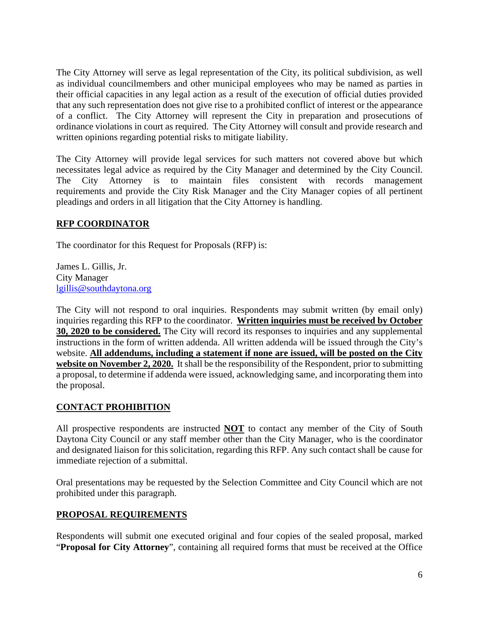The City Attorney will serve as legal representation of the City, its political subdivision, as well as individual councilmembers and other municipal employees who may be named as parties in their official capacities in any legal action as a result of the execution of official duties provided that any such representation does not give rise to a prohibited conflict of interest or the appearance of a conflict. The City Attorney will represent the City in preparation and prosecutions of ordinance violations in court as required. The City Attorney will consult and provide research and written opinions regarding potential risks to mitigate liability.

The City Attorney will provide legal services for such matters not covered above but which necessitates legal advice as required by the City Manager and determined by the City Council. The City Attorney is to maintain files consistent with records management requirements and provide the City Risk Manager and the City Manager copies of all pertinent pleadings and orders in all litigation that the City Attorney is handling.

### **RFP COORDINATOR**

The coordinator for this Request for Proposals (RFP) is:

James L. Gillis, Jr. City Manager [lgillis@southdaytona.org](mailto:lgillis@southdaytona.org)

The City will not respond to oral inquiries. Respondents may submit written (by email only) inquiries regarding this RFP to the coordinator. **Written inquiries must be received by October 30, 2020 to be considered.** The City will record its responses to inquiries and any supplemental instructions in the form of written addenda. All written addenda will be issued through the City's website. **All addendums, including a statement if none are issued, will be posted on the City website on November 2, 2020.** It shall be the responsibility of the Respondent, prior to submitting a proposal, to determine if addenda were issued, acknowledging same, and incorporating them into the proposal.

### **CONTACT PROHIBITION**

All prospective respondents are instructed **NOT** to contact any member of the City of South Daytona City Council or any staff member other than the City Manager, who is the coordinator and designated liaison for this solicitation, regarding this RFP. Any such contact shall be cause for immediate rejection of a submittal.

Oral presentations may be requested by the Selection Committee and City Council which are not prohibited under this paragraph.

### **PROPOSAL REQUIREMENTS**

Respondents will submit one executed original and four copies of the sealed proposal, marked "**Proposal for City Attorney**", containing all required forms that must be received at the Office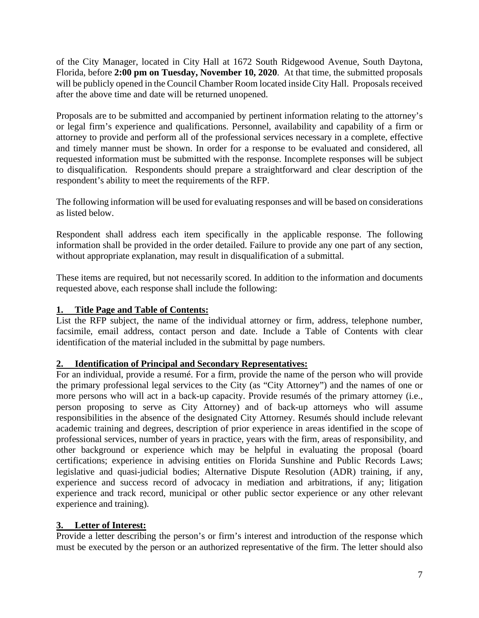of the City Manager, located in City Hall at 1672 South Ridgewood Avenue, South Daytona, Florida, before **2:00 pm on Tuesday, November 10, 2020**. At that time, the submitted proposals will be publicly opened in the Council Chamber Room located inside City Hall. Proposals received after the above time and date will be returned unopened.

Proposals are to be submitted and accompanied by pertinent information relating to the attorney's or legal firm's experience and qualifications. Personnel, availability and capability of a firm or attorney to provide and perform all of the professional services necessary in a complete, effective and timely manner must be shown. In order for a response to be evaluated and considered, all requested information must be submitted with the response. Incomplete responses will be subject to disqualification. Respondents should prepare a straightforward and clear description of the respondent's ability to meet the requirements of the RFP.

The following information will be used for evaluating responses and will be based on considerations as listed below.

Respondent shall address each item specifically in the applicable response. The following information shall be provided in the order detailed. Failure to provide any one part of any section, without appropriate explanation, may result in disqualification of a submittal.

These items are required, but not necessarily scored. In addition to the information and documents requested above, each response shall include the following:

### **1. Title Page and Table of Contents:**

List the RFP subject, the name of the individual attorney or firm, address, telephone number, facsimile, email address, contact person and date. Include a Table of Contents with clear identification of the material included in the submittal by page numbers.

### **2. Identification of Principal and Secondary Representatives:**

For an individual, provide a resumé. For a firm, provide the name of the person who will provide the primary professional legal services to the City (as "City Attorney") and the names of one or more persons who will act in a back-up capacity. Provide resumés of the primary attorney (i.e., person proposing to serve as City Attorney) and of back-up attorneys who will assume responsibilities in the absence of the designated City Attorney. Resumés should include relevant academic training and degrees, description of prior experience in areas identified in the scope of professional services, number of years in practice, years with the firm, areas of responsibility, and other background or experience which may be helpful in evaluating the proposal (board certifications; experience in advising entities on Florida Sunshine and Public Records Laws; legislative and quasi-judicial bodies; Alternative Dispute Resolution (ADR) training, if any, experience and success record of advocacy in mediation and arbitrations, if any; litigation experience and track record, municipal or other public sector experience or any other relevant experience and training).

# **3. Letter of Interest:**

Provide a letter describing the person's or firm's interest and introduction of the response which must be executed by the person or an authorized representative of the firm. The letter should also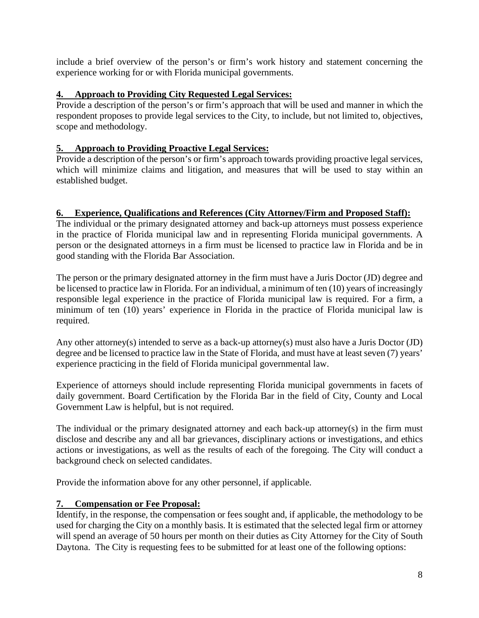include a brief overview of the person's or firm's work history and statement concerning the experience working for or with Florida municipal governments.

# **4. Approach to Providing City Requested Legal Services:**

Provide a description of the person's or firm's approach that will be used and manner in which the respondent proposes to provide legal services to the City, to include, but not limited to, objectives, scope and methodology.

#### **5. Approach to Providing Proactive Legal Services:**

Provide a description of the person's or firm's approach towards providing proactive legal services, which will minimize claims and litigation, and measures that will be used to stay within an established budget.

#### **6. Experience, Qualifications and References (City Attorney/Firm and Proposed Staff):**

The individual or the primary designated attorney and back-up attorneys must possess experience in the practice of Florida municipal law and in representing Florida municipal governments. A person or the designated attorneys in a firm must be licensed to practice law in Florida and be in good standing with the Florida Bar Association.

The person or the primary designated attorney in the firm must have a Juris Doctor (JD) degree and be licensed to practice law in Florida. For an individual, a minimum of ten (10) years of increasingly responsible legal experience in the practice of Florida municipal law is required. For a firm, a minimum of ten (10) years' experience in Florida in the practice of Florida municipal law is required.

Any other attorney(s) intended to serve as a back-up attorney(s) must also have a Juris Doctor (JD) degree and be licensed to practice law in the State of Florida, and must have at least seven (7) years' experience practicing in the field of Florida municipal governmental law.

Experience of attorneys should include representing Florida municipal governments in facets of daily government. Board Certification by the Florida Bar in the field of City, County and Local Government Law is helpful, but is not required.

The individual or the primary designated attorney and each back-up attorney(s) in the firm must disclose and describe any and all bar grievances, disciplinary actions or investigations, and ethics actions or investigations, as well as the results of each of the foregoing. The City will conduct a background check on selected candidates.

Provide the information above for any other personnel, if applicable.

### **7. Compensation or Fee Proposal:**

Identify, in the response, the compensation or fees sought and, if applicable, the methodology to be used for charging the City on a monthly basis. It is estimated that the selected legal firm or attorney will spend an average of 50 hours per month on their duties as City Attorney for the City of South Daytona. The City is requesting fees to be submitted for at least one of the following options: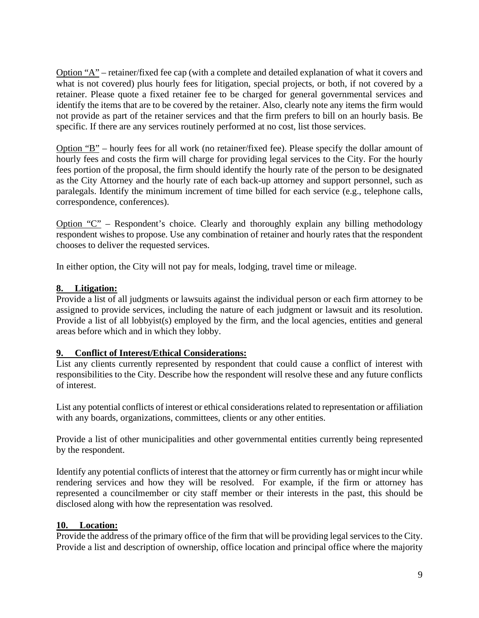Option "A" – retainer/fixed fee cap (with a complete and detailed explanation of what it covers and what is not covered) plus hourly fees for litigation, special projects, or both, if not covered by a retainer. Please quote a fixed retainer fee to be charged for general governmental services and identify the items that are to be covered by the retainer. Also, clearly note any items the firm would not provide as part of the retainer services and that the firm prefers to bill on an hourly basis. Be specific. If there are any services routinely performed at no cost, list those services.

Option "B" – hourly fees for all work (no retainer/fixed fee). Please specify the dollar amount of hourly fees and costs the firm will charge for providing legal services to the City. For the hourly fees portion of the proposal, the firm should identify the hourly rate of the person to be designated as the City Attorney and the hourly rate of each back-up attorney and support personnel, such as paralegals. Identify the minimum increment of time billed for each service (e.g., telephone calls, correspondence, conferences).

Option " $C$ " – Respondent's choice. Clearly and thoroughly explain any billing methodology respondent wishes to propose. Use any combination of retainer and hourly rates that the respondent chooses to deliver the requested services.

In either option, the City will not pay for meals, lodging, travel time or mileage.

#### **8. Litigation:**

Provide a list of all judgments or lawsuits against the individual person or each firm attorney to be assigned to provide services, including the nature of each judgment or lawsuit and its resolution. Provide a list of all lobbyist(s) employed by the firm, and the local agencies, entities and general areas before which and in which they lobby.

#### **9. Conflict of Interest/Ethical Considerations:**

List any clients currently represented by respondent that could cause a conflict of interest with responsibilities to the City. Describe how the respondent will resolve these and any future conflicts of interest.

List any potential conflicts of interest or ethical considerations related to representation or affiliation with any boards, organizations, committees, clients or any other entities.

Provide a list of other municipalities and other governmental entities currently being represented by the respondent.

Identify any potential conflicts of interest that the attorney or firm currently has or might incur while rendering services and how they will be resolved. For example, if the firm or attorney has represented a councilmember or city staff member or their interests in the past, this should be disclosed along with how the representation was resolved.

### **10. Location:**

Provide the address of the primary office of the firm that will be providing legal services to the City. Provide a list and description of ownership, office location and principal office where the majority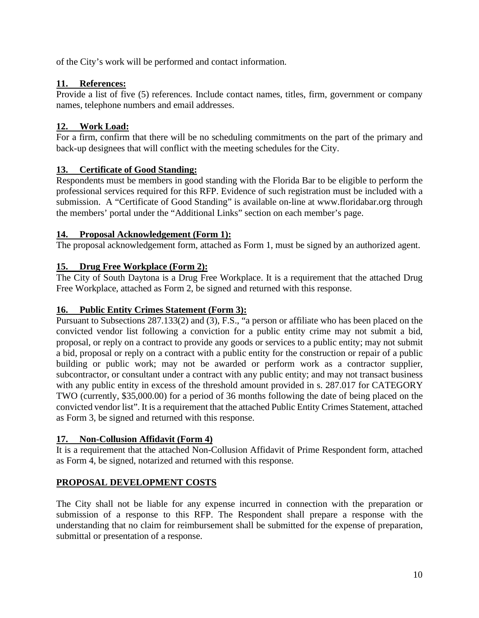of the City's work will be performed and contact information.

# **11. References:**

Provide a list of five (5) references. Include contact names, titles, firm, government or company names, telephone numbers and email addresses.

# **12. Work Load:**

For a firm, confirm that there will be no scheduling commitments on the part of the primary and back-up designees that will conflict with the meeting schedules for the City.

# **13. Certificate of Good Standing:**

Respondents must be members in good standing with the Florida Bar to be eligible to perform the professional services required for this RFP. Evidence of such registration must be included with a submission. A "Certificate of Good Standing" is available on-line at www.floridabar.org through the members' portal under the "Additional Links" section on each member's page.

### **14. Proposal Acknowledgement (Form 1):**

The proposal acknowledgement form, attached as Form 1, must be signed by an authorized agent.

# **15. Drug Free Workplace (Form 2):**

The City of South Daytona is a Drug Free Workplace. It is a requirement that the attached Drug Free Workplace, attached as Form 2, be signed and returned with this response.

### **16. Public Entity Crimes Statement (Form 3):**

Pursuant to Subsections 287.133(2) and (3), F.S., "a person or affiliate who has been placed on the convicted vendor list following a conviction for a public entity crime may not submit a bid, proposal, or reply on a contract to provide any goods or services to a public entity; may not submit a bid, proposal or reply on a contract with a public entity for the construction or repair of a public building or public work; may not be awarded or perform work as a contractor supplier, subcontractor, or consultant under a contract with any public entity; and may not transact business with any public entity in excess of the threshold amount provided in s. 287.017 for CATEGORY TWO (currently, \$35,000.00) for a period of 36 months following the date of being placed on the convicted vendor list". It is a requirement that the attached Public Entity Crimes Statement, attached as Form 3, be signed and returned with this response.

# **17. Non-Collusion Affidavit (Form 4)**

It is a requirement that the attached Non-Collusion Affidavit of Prime Respondent form, attached as Form 4, be signed, notarized and returned with this response.

# **PROPOSAL DEVELOPMENT COSTS**

The City shall not be liable for any expense incurred in connection with the preparation or submission of a response to this RFP. The Respondent shall prepare a response with the understanding that no claim for reimbursement shall be submitted for the expense of preparation, submittal or presentation of a response.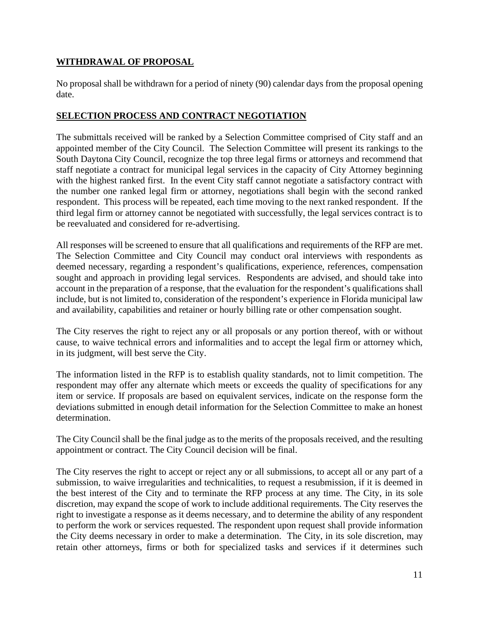### **WITHDRAWAL OF PROPOSAL**

No proposal shall be withdrawn for a period of ninety (90) calendar days from the proposal opening date.

### **SELECTION PROCESS AND CONTRACT NEGOTIATION**

The submittals received will be ranked by a Selection Committee comprised of City staff and an appointed member of the City Council. The Selection Committee will present its rankings to the South Daytona City Council, recognize the top three legal firms or attorneys and recommend that staff negotiate a contract for municipal legal services in the capacity of City Attorney beginning with the highest ranked first. In the event City staff cannot negotiate a satisfactory contract with the number one ranked legal firm or attorney, negotiations shall begin with the second ranked respondent. This process will be repeated, each time moving to the next ranked respondent. If the third legal firm or attorney cannot be negotiated with successfully, the legal services contract is to be reevaluated and considered for re-advertising.

All responses will be screened to ensure that all qualifications and requirements of the RFP are met. The Selection Committee and City Council may conduct oral interviews with respondents as deemed necessary, regarding a respondent's qualifications, experience, references, compensation sought and approach in providing legal services. Respondents are advised, and should take into account in the preparation of a response, that the evaluation for the respondent's qualifications shall include, but is not limited to, consideration of the respondent's experience in Florida municipal law and availability, capabilities and retainer or hourly billing rate or other compensation sought.

The City reserves the right to reject any or all proposals or any portion thereof, with or without cause, to waive technical errors and informalities and to accept the legal firm or attorney which, in its judgment, will best serve the City.

The information listed in the RFP is to establish quality standards, not to limit competition. The respondent may offer any alternate which meets or exceeds the quality of specifications for any item or service. If proposals are based on equivalent services, indicate on the response form the deviations submitted in enough detail information for the Selection Committee to make an honest determination.

The City Council shall be the final judge as to the merits of the proposals received, and the resulting appointment or contract. The City Council decision will be final.

The City reserves the right to accept or reject any or all submissions, to accept all or any part of a submission, to waive irregularities and technicalities, to request a resubmission, if it is deemed in the best interest of the City and to terminate the RFP process at any time. The City, in its sole discretion, may expand the scope of work to include additional requirements. The City reserves the right to investigate a response as it deems necessary, and to determine the ability of any respondent to perform the work or services requested. The respondent upon request shall provide information the City deems necessary in order to make a determination. The City, in its sole discretion, may retain other attorneys, firms or both for specialized tasks and services if it determines such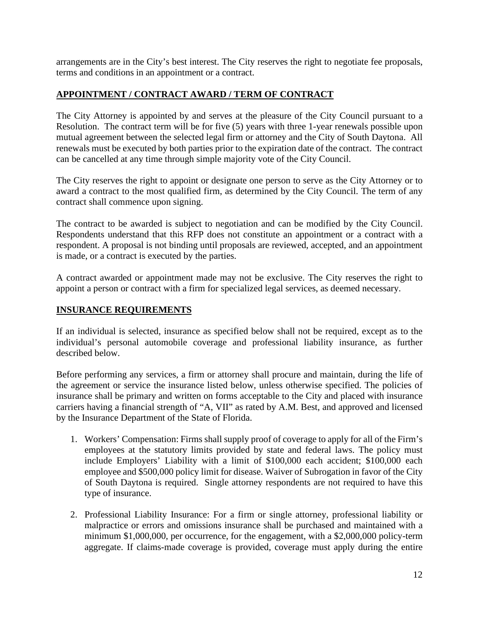arrangements are in the City's best interest. The City reserves the right to negotiate fee proposals, terms and conditions in an appointment or a contract.

### **APPOINTMENT / CONTRACT AWARD / TERM OF CONTRACT**

The City Attorney is appointed by and serves at the pleasure of the City Council pursuant to a Resolution. The contract term will be for five (5) years with three 1-year renewals possible upon mutual agreement between the selected legal firm or attorney and the City of South Daytona. All renewals must be executed by both parties prior to the expiration date of the contract. The contract can be cancelled at any time through simple majority vote of the City Council.

The City reserves the right to appoint or designate one person to serve as the City Attorney or to award a contract to the most qualified firm, as determined by the City Council. The term of any contract shall commence upon signing.

The contract to be awarded is subject to negotiation and can be modified by the City Council. Respondents understand that this RFP does not constitute an appointment or a contract with a respondent. A proposal is not binding until proposals are reviewed, accepted, and an appointment is made, or a contract is executed by the parties.

A contract awarded or appointment made may not be exclusive. The City reserves the right to appoint a person or contract with a firm for specialized legal services, as deemed necessary.

### **INSURANCE REQUIREMENTS**

If an individual is selected, insurance as specified below shall not be required, except as to the individual's personal automobile coverage and professional liability insurance, as further described below.

Before performing any services, a firm or attorney shall procure and maintain, during the life of the agreement or service the insurance listed below, unless otherwise specified. The policies of insurance shall be primary and written on forms acceptable to the City and placed with insurance carriers having a financial strength of "A, VII" as rated by A.M. Best, and approved and licensed by the Insurance Department of the State of Florida.

- 1. Workers' Compensation: Firms shall supply proof of coverage to apply for all of the Firm's employees at the statutory limits provided by state and federal laws. The policy must include Employers' Liability with a limit of \$100,000 each accident; \$100,000 each employee and \$500,000 policy limit for disease. Waiver of Subrogation in favor of the City of South Daytona is required. Single attorney respondents are not required to have this type of insurance.
- 2. Professional Liability Insurance: For a firm or single attorney, professional liability or malpractice or errors and omissions insurance shall be purchased and maintained with a minimum \$1,000,000, per occurrence, for the engagement, with a \$2,000,000 policy-term aggregate. If claims-made coverage is provided, coverage must apply during the entire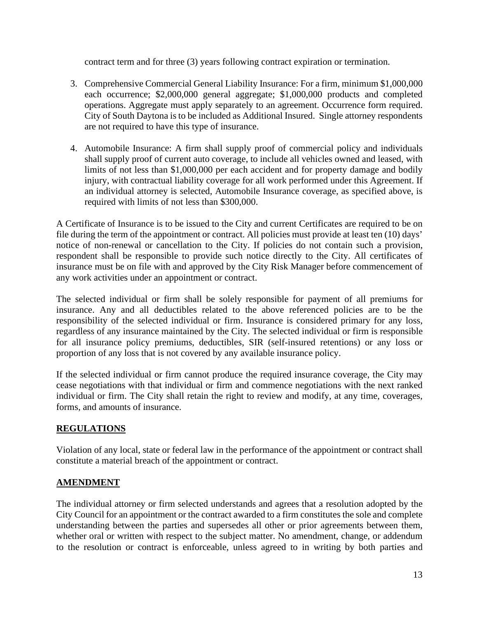contract term and for three (3) years following contract expiration or termination.

- 3. Comprehensive Commercial General Liability Insurance: For a firm, minimum \$1,000,000 each occurrence; \$2,000,000 general aggregate; \$1,000,000 products and completed operations. Aggregate must apply separately to an agreement. Occurrence form required. City of South Daytona is to be included as Additional Insured. Single attorney respondents are not required to have this type of insurance.
- 4. Automobile Insurance: A firm shall supply proof of commercial policy and individuals shall supply proof of current auto coverage, to include all vehicles owned and leased, with limits of not less than \$1,000,000 per each accident and for property damage and bodily injury, with contractual liability coverage for all work performed under this Agreement. If an individual attorney is selected, Automobile Insurance coverage, as specified above, is required with limits of not less than \$300,000.

A Certificate of Insurance is to be issued to the City and current Certificates are required to be on file during the term of the appointment or contract. All policies must provide at least ten (10) days' notice of non-renewal or cancellation to the City. If policies do not contain such a provision, respondent shall be responsible to provide such notice directly to the City. All certificates of insurance must be on file with and approved by the City Risk Manager before commencement of any work activities under an appointment or contract.

The selected individual or firm shall be solely responsible for payment of all premiums for insurance. Any and all deductibles related to the above referenced policies are to be the responsibility of the selected individual or firm. Insurance is considered primary for any loss, regardless of any insurance maintained by the City. The selected individual or firm is responsible for all insurance policy premiums, deductibles, SIR (self-insured retentions) or any loss or proportion of any loss that is not covered by any available insurance policy.

If the selected individual or firm cannot produce the required insurance coverage, the City may cease negotiations with that individual or firm and commence negotiations with the next ranked individual or firm. The City shall retain the right to review and modify, at any time, coverages, forms, and amounts of insurance.

# **REGULATIONS**

Violation of any local, state or federal law in the performance of the appointment or contract shall constitute a material breach of the appointment or contract.

# **AMENDMENT**

The individual attorney or firm selected understands and agrees that a resolution adopted by the City Council for an appointment or the contract awarded to a firm constitutes the sole and complete understanding between the parties and supersedes all other or prior agreements between them, whether oral or written with respect to the subject matter. No amendment, change, or addendum to the resolution or contract is enforceable, unless agreed to in writing by both parties and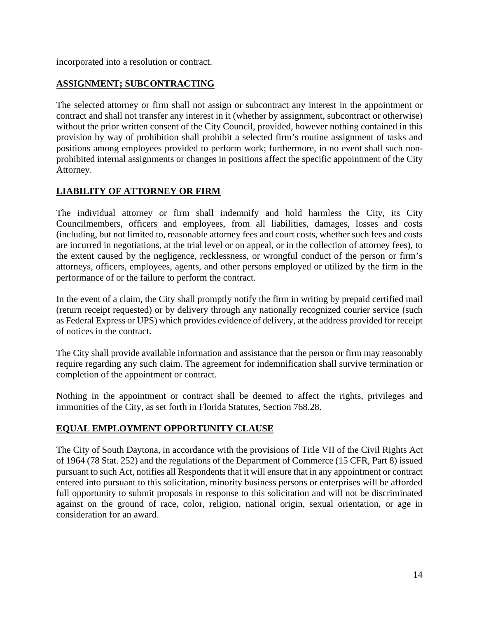incorporated into a resolution or contract.

### **ASSIGNMENT; SUBCONTRACTING**

The selected attorney or firm shall not assign or subcontract any interest in the appointment or contract and shall not transfer any interest in it (whether by assignment, subcontract or otherwise) without the prior written consent of the City Council, provided, however nothing contained in this provision by way of prohibition shall prohibit a selected firm's routine assignment of tasks and positions among employees provided to perform work; furthermore, in no event shall such nonprohibited internal assignments or changes in positions affect the specific appointment of the City Attorney.

# **LIABILITY OF ATTORNEY OR FIRM**

The individual attorney or firm shall indemnify and hold harmless the City, its City Councilmembers, officers and employees, from all liabilities, damages, losses and costs (including, but not limited to, reasonable attorney fees and court costs, whether such fees and costs are incurred in negotiations, at the trial level or on appeal, or in the collection of attorney fees), to the extent caused by the negligence, recklessness, or wrongful conduct of the person or firm's attorneys, officers, employees, agents, and other persons employed or utilized by the firm in the performance of or the failure to perform the contract.

In the event of a claim, the City shall promptly notify the firm in writing by prepaid certified mail (return receipt requested) or by delivery through any nationally recognized courier service (such as Federal Express or UPS) which provides evidence of delivery, at the address provided for receipt of notices in the contract.

The City shall provide available information and assistance that the person or firm may reasonably require regarding any such claim. The agreement for indemnification shall survive termination or completion of the appointment or contract.

Nothing in the appointment or contract shall be deemed to affect the rights, privileges and immunities of the City, as set forth in Florida Statutes, Section 768.28.

### **EQUAL EMPLOYMENT OPPORTUNITY CLAUSE**

The City of South Daytona, in accordance with the provisions of Title VII of the Civil Rights Act of 1964 (78 Stat. 252) and the regulations of the Department of Commerce (15 CFR, Part 8) issued pursuant to such Act, notifies all Respondents that it will ensure that in any appointment or contract entered into pursuant to this solicitation, minority business persons or enterprises will be afforded full opportunity to submit proposals in response to this solicitation and will not be discriminated against on the ground of race, color, religion, national origin, sexual orientation, or age in consideration for an award.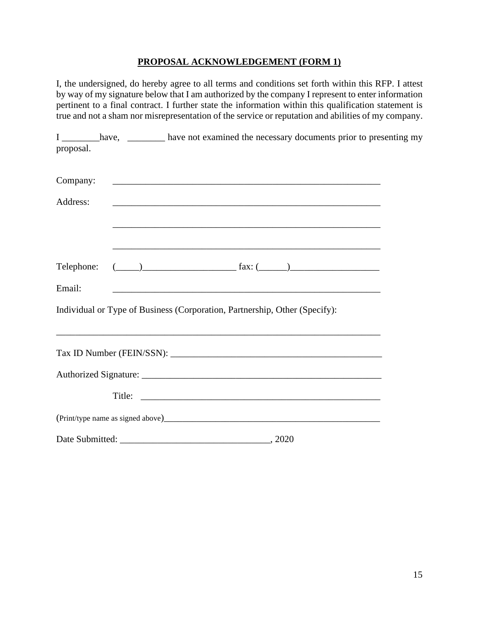#### **PROPOSAL ACKNOWLEDGEMENT (FORM 1)**

I, the undersigned, do hereby agree to all terms and conditions set forth within this RFP. I attest by way of my signature below that I am authorized by the company I represent to enter information pertinent to a final contract. I further state the information within this qualification statement is true and not a sham nor misrepresentation of the service or reputation and abilities of my company.

I \_\_\_\_\_\_\_\_have, \_\_\_\_\_\_\_\_ have not examined the necessary documents prior to presenting my proposal. Company: Address: \_\_\_\_\_\_\_\_\_\_\_\_\_\_\_\_\_\_\_\_\_\_\_\_\_\_\_\_\_\_\_\_\_\_\_\_\_\_\_\_\_\_\_\_\_\_\_\_\_\_\_\_\_\_\_\_\_ \_\_\_\_\_\_\_\_\_\_\_\_\_\_\_\_\_\_\_\_\_\_\_\_\_\_\_\_\_\_\_\_\_\_\_\_\_\_\_\_\_\_\_\_\_\_\_\_\_\_\_\_\_\_\_\_\_ \_\_\_\_\_\_\_\_\_\_\_\_\_\_\_\_\_\_\_\_\_\_\_\_\_\_\_\_\_\_\_\_\_\_\_\_\_\_\_\_\_\_\_\_\_\_\_\_\_\_\_\_\_\_\_\_\_ Telephone:  $(\_$ )  $\_$   $\_$  fax:  $(\_$ ) Email: \_\_\_\_\_\_\_\_\_\_\_\_\_\_\_\_\_\_\_\_\_\_\_\_\_\_\_\_\_\_\_\_\_\_\_\_\_\_\_\_\_\_\_\_\_\_\_\_\_\_\_\_\_\_\_\_\_ Individual or Type of Business (Corporation, Partnership, Other (Specify): \_\_\_\_\_\_\_\_\_\_\_\_\_\_\_\_\_\_\_\_\_\_\_\_\_\_\_\_\_\_\_\_\_\_\_\_\_\_\_\_\_\_\_\_\_\_\_\_\_\_\_\_\_\_\_\_\_\_\_\_\_\_\_\_\_\_\_\_\_ Tax ID Number (FEIN/SSN): \_\_\_\_\_\_\_\_\_\_\_\_\_\_\_\_\_\_\_\_\_\_\_\_\_\_\_\_\_\_\_\_\_\_\_\_\_\_\_\_\_\_\_\_\_ Authorized Signature: \_\_\_\_\_\_\_\_\_\_\_\_\_\_\_\_\_\_\_\_\_\_\_\_\_\_\_\_\_\_\_\_\_\_\_\_\_\_\_\_\_\_\_\_\_\_\_\_\_\_\_ Title: \_\_\_\_\_\_\_\_\_\_\_\_\_\_\_\_\_\_\_\_\_\_\_\_\_\_\_\_\_\_\_\_\_\_\_\_\_\_\_\_\_\_\_\_\_\_\_\_\_\_\_  $(Printtype name as signed above)$ Date Submitted: 2020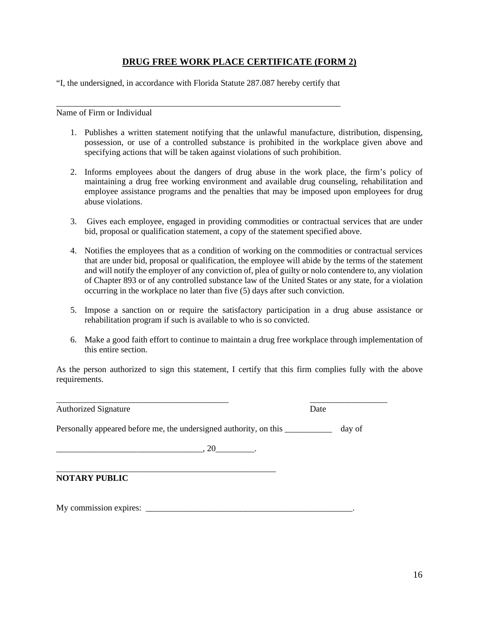### **DRUG FREE WORK PLACE CERTIFICATE (FORM 2)**

"I, the undersigned, in accordance with Florida Statute 287.087 hereby certify that

\_\_\_\_\_\_\_\_\_\_\_\_\_\_\_\_\_\_\_\_\_\_\_\_\_\_\_\_\_\_\_\_\_\_\_\_\_\_\_\_\_\_\_\_\_\_\_\_\_\_\_\_\_\_\_\_\_\_\_\_\_\_\_\_\_\_

Name of Firm or Individual

- 1. Publishes a written statement notifying that the unlawful manufacture, distribution, dispensing, possession, or use of a controlled substance is prohibited in the workplace given above and specifying actions that will be taken against violations of such prohibition.
- 2. Informs employees about the dangers of drug abuse in the work place, the firm's policy of maintaining a drug free working environment and available drug counseling, rehabilitation and employee assistance programs and the penalties that may be imposed upon employees for drug abuse violations.
- 3. Gives each employee, engaged in providing commodities or contractual services that are under bid, proposal or qualification statement, a copy of the statement specified above.
- 4. Notifies the employees that as a condition of working on the commodities or contractual services that are under bid, proposal or qualification, the employee will abide by the terms of the statement and will notify the employer of any conviction of, plea of guilty or nolo contendere to, any violation of Chapter 893 or of any controlled substance law of the United States or any state, for a violation occurring in the workplace no later than five (5) days after such conviction.
- 5. Impose a sanction on or require the satisfactory participation in a drug abuse assistance or rehabilitation program if such is available to who is so convicted.
- 6. Make a good faith effort to continue to maintain a drug free workplace through implementation of this entire section.

As the person authorized to sign this statement, I certify that this firm complies fully with the above requirements.

Authorized Signature Date

Personally appeared before me, the undersigned authority, on this \_\_\_\_\_\_\_\_\_\_\_\_\_ day of

\_\_\_\_\_\_\_\_\_\_\_\_\_\_\_\_\_\_\_\_\_\_\_\_\_\_\_\_\_\_\_\_\_\_\_\_\_\_\_\_ \_\_\_\_\_\_\_\_\_\_\_\_\_\_\_\_\_\_

\_\_\_\_\_\_\_\_\_\_\_\_\_\_\_\_\_\_\_\_\_\_\_\_\_\_\_\_\_\_\_\_\_\_, 20\_\_\_\_\_\_\_\_\_.

#### \_\_\_\_\_\_\_\_\_\_\_\_\_\_\_\_\_\_\_\_\_\_\_\_\_\_\_\_\_\_\_\_\_\_\_\_\_\_\_\_\_\_\_\_\_\_\_\_\_\_\_ **NOTARY PUBLIC**

My commission expires: \_\_\_\_\_\_\_\_\_\_\_\_\_\_\_\_\_\_\_\_\_\_\_\_\_\_\_\_\_\_\_\_\_\_\_\_\_\_\_\_\_\_\_\_\_\_\_\_.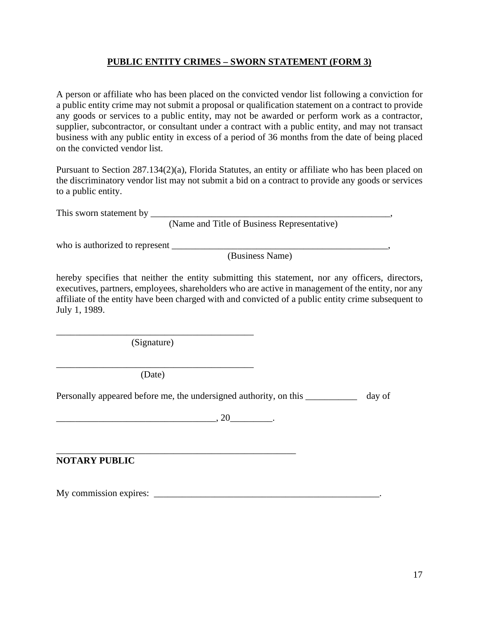### **PUBLIC ENTITY CRIMES – SWORN STATEMENT (FORM 3)**

A person or affiliate who has been placed on the convicted vendor list following a conviction for a public entity crime may not submit a proposal or qualification statement on a contract to provide any goods or services to a public entity, may not be awarded or perform work as a contractor, supplier, subcontractor, or consultant under a contract with a public entity, and may not transact business with any public entity in excess of a period of 36 months from the date of being placed on the convicted vendor list.

Pursuant to Section 287.134(2)(a), Florida Statutes, an entity or affiliate who has been placed on the discriminatory vendor list may not submit a bid on a contract to provide any goods or services to a public entity.

This sworn statement by \_\_\_\_\_\_\_\_\_\_\_\_\_\_\_\_\_\_\_\_\_\_\_\_\_\_\_\_\_\_\_\_\_\_\_\_\_\_\_\_\_\_\_\_\_\_\_\_\_\_\_,

(Name and Title of Business Representative)

who is authorized to represent  $\Box$ 

(Business Name)

hereby specifies that neither the entity submitting this statement, nor any officers, directors, executives, partners, employees, shareholders who are active in management of the entity, nor any affiliate of the entity have been charged with and convicted of a public entity crime subsequent to July 1, 1989.

\_\_\_\_\_\_\_\_\_\_\_\_\_\_\_\_\_\_\_\_\_\_\_\_\_\_\_\_\_\_\_\_\_\_\_\_\_\_\_\_\_\_ (Signature)

\_\_\_\_\_\_\_\_\_\_\_\_\_\_\_\_\_\_\_\_\_\_\_\_\_\_\_\_\_\_\_\_\_\_\_\_\_\_\_\_\_\_ (Date)

\_\_\_\_\_\_\_\_\_\_\_\_\_\_\_\_\_\_\_\_\_\_\_\_\_\_\_\_\_\_\_\_\_\_\_\_\_\_\_\_\_\_\_\_\_\_\_\_\_\_\_

Personally appeared before me, the undersigned authority, on this \_\_\_\_\_\_\_\_\_\_\_\_\_ day of

\_\_\_\_\_\_\_\_\_\_\_\_\_\_\_\_\_\_\_\_\_\_\_\_\_\_\_\_\_\_\_\_\_\_, 20\_\_\_\_\_\_\_\_\_.

**NOTARY PUBLIC** 

My commission expires: \_\_\_\_\_\_\_\_\_\_\_\_\_\_\_\_\_\_\_\_\_\_\_\_\_\_\_\_\_\_\_\_\_\_\_\_\_\_\_\_\_\_\_\_\_\_\_\_.